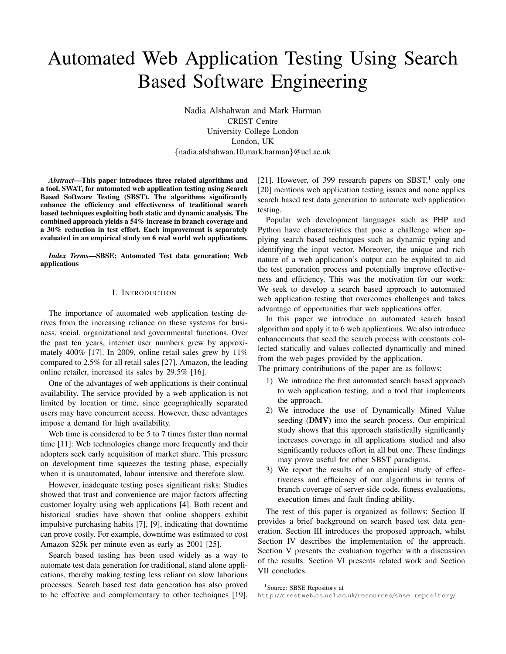# Automated Web Application Testing Using Search Based Software Engineering

Nadia Alshahwan and Mark Harman CREST Centre University College London London, UK {nadia.alshahwan.10,mark.harman}@ucl.ac.uk

*Abstract*—This paper introduces three related algorithms and a tool, SWAT, for automated web application testing using Search Based Software Testing (SBST). The algorithms significantly enhance the efficiency and effectiveness of traditional search based techniques exploiting both static and dynamic analysis. The combined approach yields a 54% increase in branch coverage and a 30% reduction in test effort. Each improvement is separately evaluated in an empirical study on 6 real world web applications.

*Index Terms*—SBSE; Automated Test data generation; Web applications

## I. INTRODUCTION

The importance of automated web application testing derives from the increasing reliance on these systems for business, social, organizational and governmental functions. Over the past ten years, internet user numbers grew by approximately 400% [17]. In 2009, online retail sales grew by 11% compared to 2.5% for all retail sales [27]. Amazon, the leading online retailer, increased its sales by 29.5% [16].

One of the advantages of web applications is their continual availability. The service provided by a web application is not limited by location or time, since geographically separated users may have concurrent access. However, these advantages impose a demand for high availability.

Web time is considered to be 5 to 7 times faster than normal time [11]: Web technologies change more frequently and their adopters seek early acquisition of market share. This pressure on development time squeezes the testing phase, especially when it is unautomated, labour intensive and therefore slow.

However, inadequate testing poses significant risks: Studies showed that trust and convenience are major factors affecting customer loyalty using web applications [4]. Both recent and historical studies have shown that online shoppers exhibit impulsive purchasing habits [7], [9], indicating that downtime can prove costly. For example, downtime was estimated to cost Amazon \$25k per minute even as early as 2001 [25].

Search based testing has been used widely as a way to automate test data generation for traditional, stand alone applications, thereby making testing less reliant on slow laborious processes. Search based test data generation has also proved to be effective and complementary to other techniques [19], [21]. However, of 399 research papers on  $SBST<sup>1</sup>$  only one [20] mentions web application testing issues and none applies search based test data generation to automate web application testing.

Popular web development languages such as PHP and Python have characteristics that pose a challenge when applying search based techniques such as dynamic typing and identifying the input vector. Moreover, the unique and rich nature of a web application's output can be exploited to aid the test generation process and potentially improve effectiveness and efficiency. This was the motivation for our work: We seek to develop a search based approach to automated web application testing that overcomes challenges and takes advantage of opportunities that web applications offer.

In this paper we introduce an automated search based algorithm and apply it to 6 web applications. We also introduce enhancements that seed the search process with constants collected statically and values collected dynamically and mined from the web pages provided by the application.

The primary contributions of the paper are as follows:

- 1) We introduce the first automated search based approach to web application testing, and a tool that implements the approach.
- 2) We introduce the use of Dynamically Mined Value seeding (DMV) into the search process. Our empirical study shows that this approach statistically significantly increases coverage in all applications studied and also significantly reduces effort in all but one. These findings may prove useful for other SBST paradigms.
- 3) We report the results of an empirical study of effectiveness and efficiency of our algorithms in terms of branch coverage of server-side code, fitness evaluations, execution times and fault finding ability.

The rest of this paper is organized as follows: Section II provides a brief background on search based test data generation. Section III introduces the proposed approach, whilst Section IV describes the implementation of the approach. Section V presents the evaluation together with a discussion of the results. Section VI presents related work and Section VII concludes.

<sup>1</sup>Source: SBSE Repository at

http://crestweb.cs.ucl.ac.uk/resources/sbse\_repository/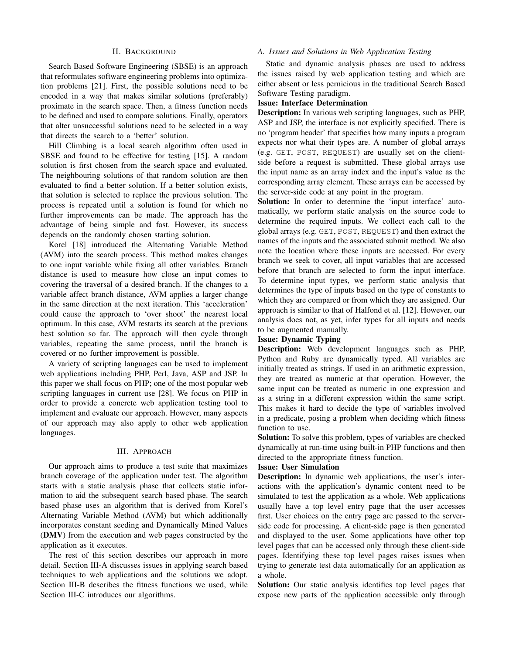#### II. BACKGROUND

Search Based Software Engineering (SBSE) is an approach that reformulates software engineering problems into optimization problems [21]. First, the possible solutions need to be encoded in a way that makes similar solutions (preferably) proximate in the search space. Then, a fitness function needs to be defined and used to compare solutions. Finally, operators that alter unsuccessful solutions need to be selected in a way that directs the search to a 'better' solution.

Hill Climbing is a local search algorithm often used in SBSE and found to be effective for testing [15]. A random solution is first chosen from the search space and evaluated. The neighbouring solutions of that random solution are then evaluated to find a better solution. If a better solution exists, that solution is selected to replace the previous solution. The process is repeated until a solution is found for which no further improvements can be made. The approach has the advantage of being simple and fast. However, its success depends on the randomly chosen starting solution.

Korel [18] introduced the Alternating Variable Method (AVM) into the search process. This method makes changes to one input variable while fixing all other variables. Branch distance is used to measure how close an input comes to covering the traversal of a desired branch. If the changes to a variable affect branch distance, AVM applies a larger change in the same direction at the next iteration. This 'acceleration' could cause the approach to 'over shoot' the nearest local optimum. In this case, AVM restarts its search at the previous best solution so far. The approach will then cycle through variables, repeating the same process, until the branch is covered or no further improvement is possible.

A variety of scripting languages can be used to implement web applications including PHP, Perl, Java, ASP and JSP. In this paper we shall focus on PHP; one of the most popular web scripting languages in current use [28]. We focus on PHP in order to provide a concrete web application testing tool to implement and evaluate our approach. However, many aspects of our approach may also apply to other web application languages.

## III. APPROACH

Our approach aims to produce a test suite that maximizes branch coverage of the application under test. The algorithm starts with a static analysis phase that collects static information to aid the subsequent search based phase. The search based phase uses an algorithm that is derived from Korel's Alternating Variable Method (AVM) but which additionally incorporates constant seeding and Dynamically Mined Values (DMV) from the execution and web pages constructed by the application as it executes.

The rest of this section describes our approach in more detail. Section III-A discusses issues in applying search based techniques to web applications and the solutions we adopt. Section III-B describes the fitness functions we used, while Section III-C introduces our algorithms.

#### *A. Issues and Solutions in Web Application Testing*

Static and dynamic analysis phases are used to address the issues raised by web application testing and which are either absent or less pernicious in the traditional Search Based Software Testing paradigm.

## Issue: Interface Determination

Description: In various web scripting languages, such as PHP, ASP and JSP, the interface is not explicitly specified. There is no 'program header' that specifies how many inputs a program expects nor what their types are. A number of global arrays (e.g. GET, POST, REQUEST) are usually set on the clientside before a request is submitted. These global arrays use the input name as an array index and the input's value as the corresponding array element. These arrays can be accessed by the server-side code at any point in the program.

Solution: In order to determine the 'input interface' automatically, we perform static analysis on the source code to determine the required inputs. We collect each call to the global arrays (e.g. GET, POST, REQUEST) and then extract the names of the inputs and the associated submit method. We also note the location where these inputs are accessed. For every branch we seek to cover, all input variables that are accessed before that branch are selected to form the input interface. To determine input types, we perform static analysis that determines the type of inputs based on the type of constants to which they are compared or from which they are assigned. Our approach is similar to that of Halfond et al. [12]. However, our analysis does not, as yet, infer types for all inputs and needs to be augmented manually.

## Issue: Dynamic Typing

Description: Web development languages such as PHP, Python and Ruby are dynamically typed. All variables are initially treated as strings. If used in an arithmetic expression, they are treated as numeric at that operation. However, the same input can be treated as numeric in one expression and as a string in a different expression within the same script. This makes it hard to decide the type of variables involved in a predicate, posing a problem when deciding which fitness function to use.

Solution: To solve this problem, types of variables are checked dynamically at run-time using built-in PHP functions and then directed to the appropriate fitness function.

## Issue: User Simulation

Description: In dynamic web applications, the user's interactions with the application's dynamic content need to be simulated to test the application as a whole. Web applications usually have a top level entry page that the user accesses first. User choices on the entry page are passed to the serverside code for processing. A client-side page is then generated and displayed to the user. Some applications have other top level pages that can be accessed only through these client-side pages. Identifying these top level pages raises issues when trying to generate test data automatically for an application as a whole.

Solution: Our static analysis identifies top level pages that expose new parts of the application accessible only through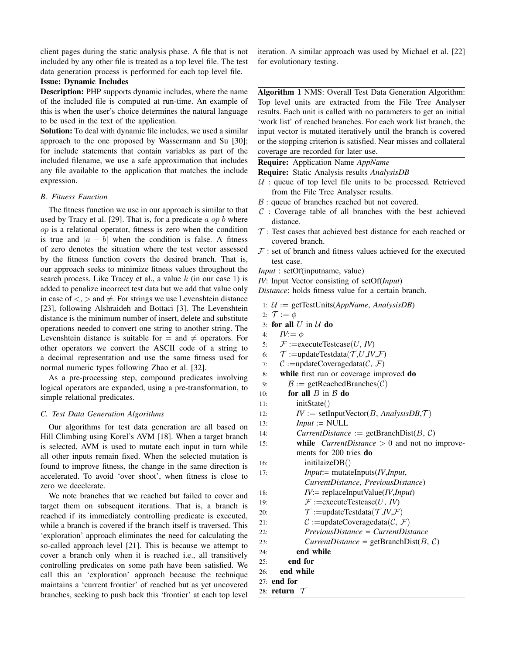client pages during the static analysis phase. A file that is not included by any other file is treated as a top level file. The test data generation process is performed for each top level file.

## Issue: Dynamic Includes

Description: PHP supports dynamic includes, where the name of the included file is computed at run-time. An example of this is when the user's choice determines the natural language to be used in the text of the application.

Solution: To deal with dynamic file includes, we used a similar approach to the one proposed by Wassermann and Su [30]; for include statements that contain variables as part of the included filename, we use a safe approximation that includes any file available to the application that matches the include expression.

### *B. Fitness Function*

The fitness function we use in our approach is similar to that used by Tracy et al. [29]. That is, for a predicate  $a$  op  $b$  where  $op$  is a relational operator, fitness is zero when the condition is true and  $|a - b|$  when the condition is false. A fitness of zero denotes the situation where the test vector assessed by the fitness function covers the desired branch. That is, our approach seeks to minimize fitness values throughout the search process. Like Tracey et al., a value  $k$  (in our case 1) is added to penalize incorrect test data but we add that value only in case of  $\langle \rangle$  and  $\neq$ . For strings we use Levenshtein distance [23], following Alshraideh and Bottaci [3]. The Levenshtein distance is the minimum number of insert, delete and substitute operations needed to convert one string to another string. The Levenshtein distance is suitable for  $=$  and  $\neq$  operators. For other operators we convert the ASCII code of a string to a decimal representation and use the same fitness used for normal numeric types following Zhao et al. [32].

As a pre-processing step, compound predicates involving logical operators are expanded, using a pre-transformation, to simple relational predicates.

## *C. Test Data Generation Algorithms*

Our algorithms for test data generation are all based on Hill Climbing using Korel's AVM [18]. When a target branch is selected, AVM is used to mutate each input in turn while all other inputs remain fixed. When the selected mutation is found to improve fitness, the change in the same direction is accelerated. To avoid 'over shoot', when fitness is close to zero we decelerate.

We note branches that we reached but failed to cover and target them on subsequent iterations. That is, a branch is reached if its immediately controlling predicate is executed, while a branch is covered if the branch itself is traversed. This 'exploration' approach eliminates the need for calculating the so-called approach level [21]. This is because we attempt to cover a branch only when it is reached i.e., all transitively controlling predicates on some path have been satisfied. We call this an 'exploration' approach because the technique maintains a 'current frontier' of reached but as yet uncovered branches, seeking to push back this 'frontier' at each top level iteration. A similar approach was used by Michael et al. [22] for evolutionary testing.

Algorithm 1 NMS: Overall Test Data Generation Algorithm: Top level units are extracted from the File Tree Analyser results. Each unit is called with no parameters to get an initial 'work list' of reached branches. For each work list branch, the input vector is mutated iteratively until the branch is covered or the stopping criterion is satisfied. Near misses and collateral coverage are recorded for later use.

Require: Application Name *AppName*

Require: Static Analysis results *AnalysisDB*

- $U$ : queue of top level file units to be processed. Retrieved from the File Tree Analyser results.
- $B$ : queue of branches reached but not covered.
- $C$ : Coverage table of all branches with the best achieved distance.
- $\mathcal T$ : Test cases that achieved best distance for each reached or covered branch.
- $F$ : set of branch and fitness values achieved for the executed test case.

*Input* : setOf(inputname, value)

*IV*: Input Vector consisting of setOf(*Input*)

*Distance*: holds fitness value for a certain branch.

- 1: U := getTestUnits(*AppName*, *AnalysisDB*)
- 2:  $\mathcal{T} := \phi$
- 3: for all  $U$  in  $U$  do
- 4:  $IV := \phi$
- 5:  $\mathcal{F}$  :=executeTestcase(*U*, *IV*)
- 6:  $\mathcal{T}$  :=updateTestdata( $\mathcal{T}, U, IV, \mathcal{F}$ )
- 7:  $C := updateCoveragedata(C, \mathcal{F})$
- 8: while first run or coverage improved do
- 9:  $\mathcal{B} := getReachedBranches(\mathcal{C})$
- 10: **for all**  $B$  in  $\beta$  do
- 11: initState()
- 12:  $IV := setInputVector(B, AnalysisDB, \mathcal{T})$
- 13:  $Input := NULL$
- 14:  $CurrentDistance := getBranchDist(B, C)$
- 15: while *CurrentDistance* > 0 and not no improvements for 200 tries do
- 16: initilaizeDB()

```
17: Input:= mutateInputs(IV,Input,
```
- *CurrentDistance*, *PreviousDistance*)
- 18: *IV*:= replaceInputValue(*IV*,*Input*)
- 19:  $\mathcal{F}$  :=executeTestcase(*U*, *IV*)
- 20:  $\mathcal{T} := \text{updateTestdata}(\mathcal{T}, IV, \mathcal{F})$
- 21:  $C := updateCoveragedata(C, \mathcal{F})$
- 22: *PreviousDistance* = *CurrentDistance*
- 23:  $CurrentDistance = getBranchDist(B, C)$
- 24: end while
- 25: end for
- 26: end while
- 27: end for
- 28: return  $\mathcal T$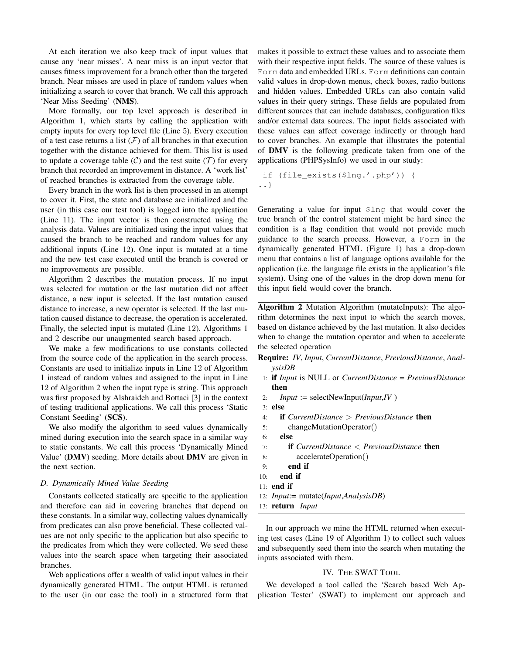At each iteration we also keep track of input values that cause any 'near misses'. A near miss is an input vector that causes fitness improvement for a branch other than the targeted branch. Near misses are used in place of random values when initializing a search to cover that branch. We call this approach 'Near Miss Seeding' (NMS).

More formally, our top level approach is described in Algorithm 1, which starts by calling the application with empty inputs for every top level file (Line 5). Every execution of a test case returns a list  $(F)$  of all branches in that execution together with the distance achieved for them. This list is used to update a coverage table  $(C)$  and the test suite  $(T)$  for every branch that recorded an improvement in distance. A 'work list' of reached branches is extracted from the coverage table.

Every branch in the work list is then processed in an attempt to cover it. First, the state and database are initialized and the user (in this case our test tool) is logged into the application (Line 11). The input vector is then constructed using the analysis data. Values are initialized using the input values that caused the branch to be reached and random values for any additional inputs (Line 12). One input is mutated at a time and the new test case executed until the branch is covered or no improvements are possible.

Algorithm 2 describes the mutation process. If no input was selected for mutation or the last mutation did not affect distance, a new input is selected. If the last mutation caused distance to increase, a new operator is selected. If the last mutation caused distance to decrease, the operation is accelerated. Finally, the selected input is mutated (Line 12). Algorithms 1 and 2 describe our unaugmented search based approach.

We make a few modifications to use constants collected from the source code of the application in the search process. Constants are used to initialize inputs in Line 12 of Algorithm 1 instead of random values and assigned to the input in Line 12 of Algorithm 2 when the input type is string. This approach was first proposed by Alshraideh and Bottaci [3] in the context of testing traditional applications. We call this process 'Static Constant Seeding' (SCS).

We also modify the algorithm to seed values dynamically mined during execution into the search space in a similar way to static constants. We call this process 'Dynamically Mined Value' (DMV) seeding. More details about DMV are given in the next section.

#### *D. Dynamically Mined Value Seeding*

Constants collected statically are specific to the application and therefore can aid in covering branches that depend on these constants. In a similar way, collecting values dynamically from predicates can also prove beneficial. These collected values are not only specific to the application but also specific to the predicates from which they were collected. We seed these values into the search space when targeting their associated branches.

Web applications offer a wealth of valid input values in their dynamically generated HTML. The output HTML is returned to the user (in our case the tool) in a structured form that

makes it possible to extract these values and to associate them with their respective input fields. The source of these values is Form data and embedded URLs. Form definitions can contain valid values in drop-down menus, check boxes, radio buttons and hidden values. Embedded URLs can also contain valid values in their query strings. These fields are populated from different sources that can include databases, configuration files and/or external data sources. The input fields associated with these values can affect coverage indirectly or through hard to cover branches. An example that illustrates the potential of DMV is the following predicate taken from one of the applications (PHPSysInfo) we used in our study:

```
if (file_exists($lng.'.php')) {
..}
```
Generating a value for input \$lng that would cover the true branch of the control statement might be hard since the condition is a flag condition that would not provide much guidance to the search process. However, a Form in the dynamically generated HTML (Figure 1) has a drop-down menu that contains a list of language options available for the application (i.e. the language file exists in the application's file system). Using one of the values in the drop down menu for this input field would cover the branch.

Algorithm 2 Mutation Algorithm (mutateInputs): The algorithm determines the next input to which the search moves, based on distance achieved by the last mutation. It also decides when to change the mutation operator and when to accelerate the selected operation

- Require: *IV*, *Input*, *CurrentDistance*, *PreviousDistance*, *AnalysisDB*
- 1: if *Input* is NULL or *CurrentDistance* = *PreviousDistance* then
- 2:  $Input := selectNewInput(Input, IV)$
- 3: else

```
4: if CurrentDistance > PreviousDistance then
```
- 5: changeMutationOperator()
- 6: else

```
7: if CurrentDistance < PreviousDistance then
```
8: accelerateOperation()

```
9: end if
```

```
10: end if
```

```
11: end if
```
12: *Input*:= mutate(*Input*,*AnalysisDB*)

13: return *Input*

In our approach we mine the HTML returned when executing test cases (Line 19 of Algorithm 1) to collect such values and subsequently seed them into the search when mutating the inputs associated with them.

## IV. THE SWAT TOOL

We developed a tool called the 'Search based Web Application Tester' (SWAT) to implement our approach and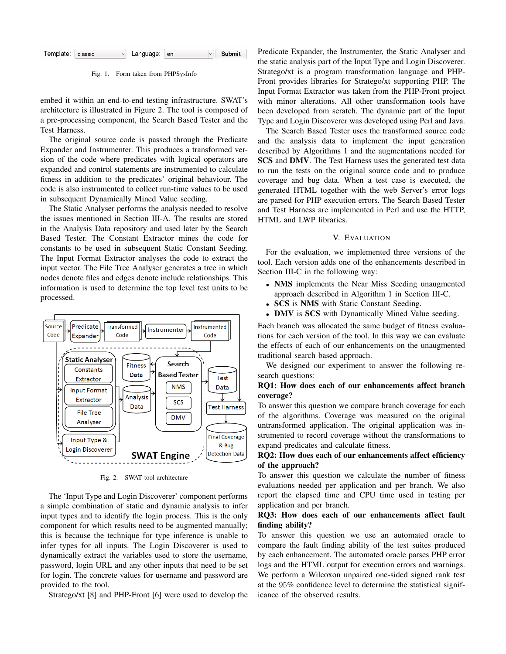

Fig. 1. Form taken from PHPSysInfo

embed it within an end-to-end testing infrastructure. SWAT's architecture is illustrated in Figure 2. The tool is composed of a pre-processing component, the Search Based Tester and the Test Harness.

The original source code is passed through the Predicate Expander and Instrumenter. This produces a transformed version of the code where predicates with logical operators are expanded and control statements are instrumented to calculate fitness in addition to the predicates' original behaviour. The code is also instrumented to collect run-time values to be used in subsequent Dynamically Mined Value seeding.

The Static Analyser performs the analysis needed to resolve the issues mentioned in Section III-A. The results are stored in the Analysis Data repository and used later by the Search Based Tester. The Constant Extractor mines the code for constants to be used in subsequent Static Constant Seeding. The Input Format Extractor analyses the code to extract the input vector. The File Tree Analyser generates a tree in which nodes denote files and edges denote include relationships. This information is used to determine the top level test units to be processed.



Fig. 2. SWAT tool architecture

The 'Input Type and Login Discoverer' component performs a simple combination of static and dynamic analysis to infer input types and to identify the login process. This is the only component for which results need to be augmented manually; this is because the technique for type inference is unable to infer types for all inputs. The Login Discoverer is used to dynamically extract the variables used to store the username, password, login URL and any other inputs that need to be set for login. The concrete values for username and password are provided to the tool.

Stratego/xt [8] and PHP-Front [6] were used to develop the

Predicate Expander, the Instrumenter, the Static Analyser and the static analysis part of the Input Type and Login Discoverer. Stratego/xt is a program transformation language and PHP-Front provides libraries for Stratego/xt supporting PHP. The Input Format Extractor was taken from the PHP-Front project with minor alterations. All other transformation tools have been developed from scratch. The dynamic part of the Input Type and Login Discoverer was developed using Perl and Java.

The Search Based Tester uses the transformed source code and the analysis data to implement the input generation described by Algorithms 1 and the augmentations needed for SCS and DMV. The Test Harness uses the generated test data to run the tests on the original source code and to produce coverage and bug data. When a test case is executed, the generated HTML together with the web Server's error logs are parsed for PHP execution errors. The Search Based Tester and Test Harness are implemented in Perl and use the HTTP, HTML and LWP libraries.

## V. EVALUATION

For the evaluation, we implemented three versions of the tool. Each version adds one of the enhancements described in Section III-C in the following way:

- NMS implements the Near Miss Seeding unaugmented approach described in Algorithm 1 in Section III-C.
- SCS is NMS with Static Constant Seeding.
- DMV is SCS with Dynamically Mined Value seeding.

Each branch was allocated the same budget of fitness evaluations for each version of the tool. In this way we can evaluate the effects of each of our enhancements on the unaugmented traditional search based approach.

We designed our experiment to answer the following research questions:

## RQ1: How does each of our enhancements affect branch coverage?

To answer this question we compare branch coverage for each of the algorithms. Coverage was measured on the original untransformed application. The original application was instrumented to record coverage without the transformations to expand predicates and calculate fitness.

## RQ2: How does each of our enhancements affect efficiency of the approach?

To answer this question we calculate the number of fitness evaluations needed per application and per branch. We also report the elapsed time and CPU time used in testing per application and per branch.

## RQ3: How does each of our enhancements affect fault finding ability?

To answer this question we use an automated oracle to compare the fault finding ability of the test suites produced by each enhancement. The automated oracle parses PHP error logs and the HTML output for execution errors and warnings. We perform a Wilcoxon unpaired one-sided signed rank test at the 95% confidence level to determine the statistical significance of the observed results.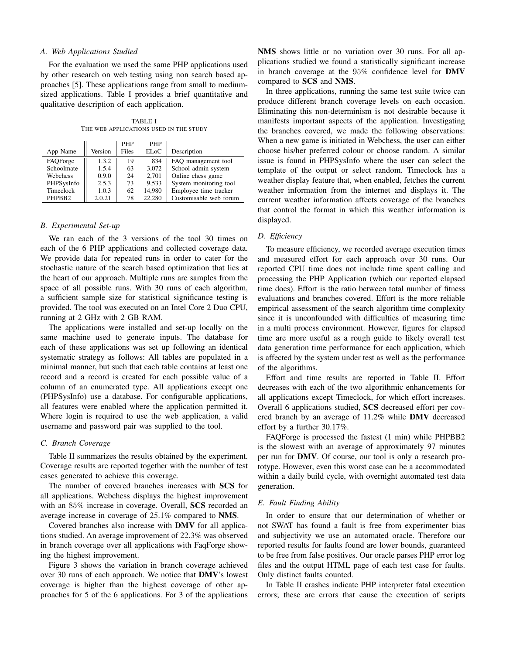#### *A. Web Applications Studied*

For the evaluation we used the same PHP applications used by other research on web testing using non search based approaches [5]. These applications range from small to mediumsized applications. Table I provides a brief quantitative and qualitative description of each application.

TABLE I THE WEB APPLICATIONS USED IN THE STUDY

|            |         | <b>PHP</b> | <b>PHP</b> |                        |
|------------|---------|------------|------------|------------------------|
| App Name   | Version | Files      | ELoC       | Description            |
| FAOForge   | 1.3.2   | 19         | 834        | FAQ management tool    |
| Schoolmate | 1.5.4   | 63         | 3,072      | School admin system    |
| Webchess   | 0.9.0   | 24         | 2.701      | Online chess game      |
| PHPSysInfo | 2.5.3   | 73         | 9.533      | System monitoring tool |
| Timeclock  | 1.0.3   | 62         | 14.980     | Employee time tracker  |
| PHPBB2     | 2.0.21  | 78         | 22,280     | Customisable web forum |

#### *B. Experimental Set-up*

We ran each of the 3 versions of the tool 30 times on each of the 6 PHP applications and collected coverage data. We provide data for repeated runs in order to cater for the stochastic nature of the search based optimization that lies at the heart of our approach. Multiple runs are samples from the space of all possible runs. With 30 runs of each algorithm, a sufficient sample size for statistical significance testing is provided. The tool was executed on an Intel Core 2 Duo CPU, running at 2 GHz with 2 GB RAM.

The applications were installed and set-up locally on the same machine used to generate inputs. The database for each of these applications was set up following an identical systematic strategy as follows: All tables are populated in a minimal manner, but such that each table contains at least one record and a record is created for each possible value of a column of an enumerated type. All applications except one (PHPSysInfo) use a database. For configurable applications, all features were enabled where the application permitted it. Where login is required to use the web application, a valid username and password pair was supplied to the tool.

#### *C. Branch Coverage*

Table II summarizes the results obtained by the experiment. Coverage results are reported together with the number of test cases generated to achieve this coverage.

The number of covered branches increases with SCS for all applications. Webchess displays the highest improvement with an 85% increase in coverage. Overall, SCS recorded an average increase in coverage of 25.1% compared to NMS.

Covered branches also increase with DMV for all applications studied. An average improvement of 22.3% was observed in branch coverage over all applications with FaqForge showing the highest improvement.

Figure 3 shows the variation in branch coverage achieved over 30 runs of each approach. We notice that DMV's lowest coverage is higher than the highest coverage of other approaches for 5 of the 6 applications. For 3 of the applications NMS shows little or no variation over 30 runs. For all applications studied we found a statistically significant increase in branch coverage at the 95% confidence level for DMV compared to SCS and NMS.

In three applications, running the same test suite twice can produce different branch coverage levels on each occasion. Eliminating this non-determinism is not desirable because it manifests important aspects of the application. Investigating the branches covered, we made the following observations: When a new game is initiated in Webchess, the user can either choose his/her preferred colour or choose random. A similar issue is found in PHPSysInfo where the user can select the template of the output or select random. Timeclock has a weather display feature that, when enabled, fetches the current weather information from the internet and displays it. The current weather information affects coverage of the branches that control the format in which this weather information is displayed.

## *D. Efficiency*

To measure efficiency, we recorded average execution times and measured effort for each approach over 30 runs. Our reported CPU time does not include time spent calling and processing the PHP Application (which our reported elapsed time does). Effort is the ratio between total number of fitness evaluations and branches covered. Effort is the more reliable empirical assessment of the search algorithm time complexity since it is unconfounded with difficulties of measuring time in a multi process environment. However, figures for elapsed time are more useful as a rough guide to likely overall test data generation time performance for each application, which is affected by the system under test as well as the performance of the algorithms.

Effort and time results are reported in Table II. Effort decreases with each of the two algorithmic enhancements for all applications except Timeclock, for which effort increases. Overall 6 applications studied, SCS decreased effort per covered branch by an average of 11.2% while DMV decreased effort by a further 30.17%.

FAQForge is processed the fastest (1 min) while PHPBB2 is the slowest with an average of approximately 97 minutes per run for DMV. Of course, our tool is only a research prototype. However, even this worst case can be a accommodated within a daily build cycle, with overnight automated test data generation.

## *E. Fault Finding Ability*

In order to ensure that our determination of whether or not SWAT has found a fault is free from experimenter bias and subjectivity we use an automated oracle. Therefore our reported results for faults found are lower bounds, guaranteed to be free from false positives. Our oracle parses PHP error log files and the output HTML page of each test case for faults. Only distinct faults counted.

In Table II crashes indicate PHP interpreter fatal execution errors; these are errors that cause the execution of scripts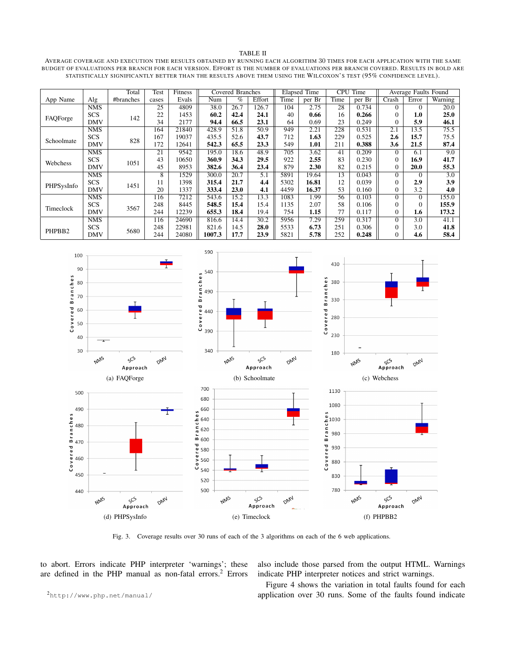TABLE II

AVERAGE COVERAGE AND EXECUTION TIME RESULTS OBTAINED BY RUNNING EACH ALGORITHM 30 TIMES FOR EACH APPLICATION WITH THE SAME BUDGET OF EVALUATIONS PER BRANCH FOR EACH VERSION. EFFORT IS THE NUMBER OF EVALUATIONS PER BRANCH COVERED. RESULTS IN BOLD ARE STATISTICALLY SIGNIFICANTLY BETTER THAN THE RESULTS ABOVE THEM USING THE WILCOXON'S TEST (95% CONFIDENCE LEVEL).

|            |            | Total     | Test            | Fitness | Covered Branches |                            | Elapsed Time      |      | <b>CPU</b><br>Time |                  | Average Faults Found |                  |             |         |
|------------|------------|-----------|-----------------|---------|------------------|----------------------------|-------------------|------|--------------------|------------------|----------------------|------------------|-------------|---------|
| App Name   | Alg        | #branches | cases           | Evals   | Num              | $\overline{\mathcal{C}}_0$ | Effort            | Time | per Br             | Time             | per Br               | Crash            | Error       | Warning |
|            | <b>NMS</b> |           | 25              | 4809    | 38.0             | 26.7                       | 26.7              | 104  | 2.75               | 28               | 0.734                | $\Omega$         | $\Omega$    | 20.0    |
|            | <b>SCS</b> |           | 22              | 1453    | 60.2             | 42.4                       | 24.1              | 40   | 0.66               | 16               | 0.266                | $\Omega$         | 1.0         | 25.0    |
| FAQForge   | <b>DMV</b> | 142       | 34              | 2177    | 94.4             | 66.5                       | 23.1              | 64   | 0.69               | 23               | 0.249                |                  | 5.9         | 46.1    |
|            | <b>NMS</b> |           | 164             | 21840   | 428.9            | 51.8                       | $\overline{50.9}$ | 949  | 2.21               | $\overline{228}$ | 0.531                | $\overline{2.1}$ | 13.5        | 75.5    |
| Schoolmate | <b>SCS</b> | 828       | 167             | 19037   | 435.5            | 52.6                       | 43.7              | 712  | 1.63               | 229              | 0.525                | 2.6              | 15.7        | 75.5    |
|            | DMV        |           | 172             | 12641   | 542.3            | 65.5                       | 23.3              | 549  | 1.01               | 211              | 0.388                | 3.6              | 21.5        | 87.4    |
|            | <b>NMS</b> |           | $2\overline{1}$ | 9542    | 195.0            | 18.6                       | 48.9              | 705  | 3.62               | 41               | 0.209                | $\Omega$         | 6.1         | 9.0     |
| Webchess   | <b>SCS</b> |           | 43              | 10650   | 360.9            | 34.3                       | 29.5              | 922  | 2.55               | 83               | 0.230                | $\overline{0}$   | 16.9        | 41.7    |
|            | <b>DMV</b> | 1051      | 45              | 8953    | 382.6            | 36.4                       | 23.4              | 879  | 2.30               | 82               | 0.215                | $\Omega$         | <b>20.0</b> | 55.3    |
|            | <b>NMS</b> |           | 8               | 1529    | 300.0            | 20.7                       | 5.1               | 5891 | 19.64              | 13               | 0.043                | $\Omega$         | $\Omega$    | 3.0     |
| PHPSysInfo | <b>SCS</b> | 1451      | 11              | 1398    | 315.4            | 21.7                       | 4.4               | 5302 | 16.81              | 12               | 0.039                | $\theta$         | 2.9         | 3.9     |
|            | DMV        |           | 20              | 1337    | 333.4            | 23.0                       | 4.1               | 4459 | 16.37              | 53               | 0.160                | $\Omega$         | 3.2         | 4.0     |
|            | NMS        |           | 116             | 7212    | 543.6            | 15.2                       | 13.3              | 1083 | 1.99               | 56               | 0.103                | $\Omega$         | $\Omega$    | 155.0   |
| Timeclock  | <b>SCS</b> | 3567      | 248             | 8445    | 548.5            | 15.4                       | 15.4              | 1135 | 2.07               | 58               | 0.106                | $\overline{0}$   |             | 155.9   |
|            | <b>DMV</b> |           | 244             | 12239   | 655.3            | 18.4                       | 19.4              | 754  | 1.15               | 77               | 0.117                | $\Omega$         | 1.6         | 173.2   |
|            | <b>NMS</b> |           | 116             | 24690   | 816.6            | 14.4                       | 30.2              | 5956 | 7.29               | 259              | 0.317                | $\theta$         | 3.0         | 41.1    |
|            | SCS        |           | 248             | 22981   | 821.6            | 14.5                       | 28.0              | 5533 | 6.73               | 251              | 0.306                | $\overline{0}$   | 3.0         | 41.8    |
| PHPBB2     | DMV        | 5680      | 244             | 24080   | 1007.3           | 17.7                       | 23.9              | 5821 | 5.78               | 252              | 0.248                | $\Omega$         | 4.6         | 58.4    |



Fig. 3. Coverage results over 30 runs of each of the 3 algorithms on each of the 6 web applications.

to abort. Errors indicate PHP interpreter 'warnings'; these are defined in the PHP manual as non-fatal errors.<sup>2</sup> Errors

also include those parsed from the output HTML. Warnings indicate PHP interpreter notices and strict warnings.

<sup>2</sup>http://www.php.net/manual/

Figure 4 shows the variation in total faults found for each application over 30 runs. Some of the faults found indicate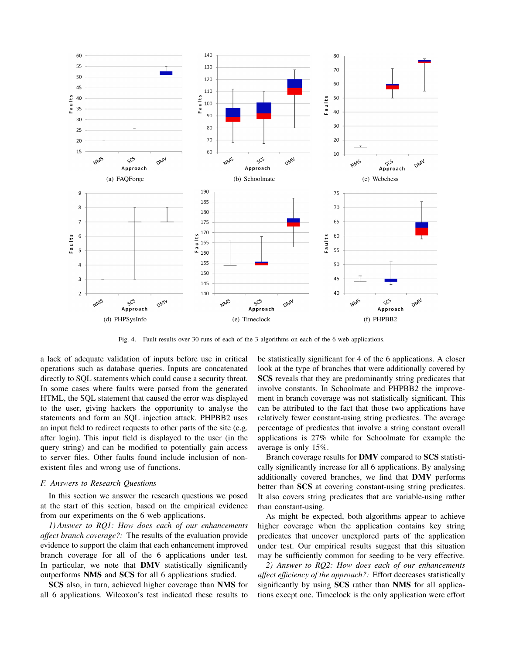

Fig. 4. Fault results over 30 runs of each of the 3 algorithms on each of the 6 web applications.

a lack of adequate validation of inputs before use in critical operations such as database queries. Inputs are concatenated directly to SQL statements which could cause a security threat. In some cases where faults were parsed from the generated HTML, the SQL statement that caused the error was displayed to the user, giving hackers the opportunity to analyse the statements and form an SQL injection attack. PHPBB2 uses an input field to redirect requests to other parts of the site (e.g. after login). This input field is displayed to the user (in the query string) and can be modified to potentially gain access to server files. Other faults found include inclusion of nonexistent files and wrong use of functions.

#### *F. Answers to Research Questions*

In this section we answer the research questions we posed at the start of this section, based on the empirical evidence from our experiments on the 6 web applications.

*1) Answer to RQ1: How does each of our enhancements affect branch coverage?:* The results of the evaluation provide evidence to support the claim that each enhancement improved branch coverage for all of the 6 applications under test. In particular, we note that **DMV** statistically significantly outperforms NMS and SCS for all 6 applications studied.

SCS also, in turn, achieved higher coverage than NMS for all 6 applications. Wilcoxon's test indicated these results to be statistically significant for 4 of the 6 applications. A closer look at the type of branches that were additionally covered by SCS reveals that they are predominantly string predicates that involve constants. In Schoolmate and PHPBB2 the improvement in branch coverage was not statistically significant. This can be attributed to the fact that those two applications have relatively fewer constant-using string predicates. The average percentage of predicates that involve a string constant overall applications is 27% while for Schoolmate for example the average is only 15%.

Branch coverage results for DMV compared to SCS statistically significantly increase for all 6 applications. By analysing additionally covered branches, we find that DMV performs better than SCS at covering constant-using string predicates. It also covers string predicates that are variable-using rather than constant-using.

As might be expected, both algorithms appear to achieve higher coverage when the application contains key string predicates that uncover unexplored parts of the application under test. Our empirical results suggest that this situation may be sufficiently common for seeding to be very effective.

*2) Answer to RQ2: How does each of our enhancements affect efficiency of the approach?:* Effort decreases statistically significantly by using SCS rather than NMS for all applications except one. Timeclock is the only application were effort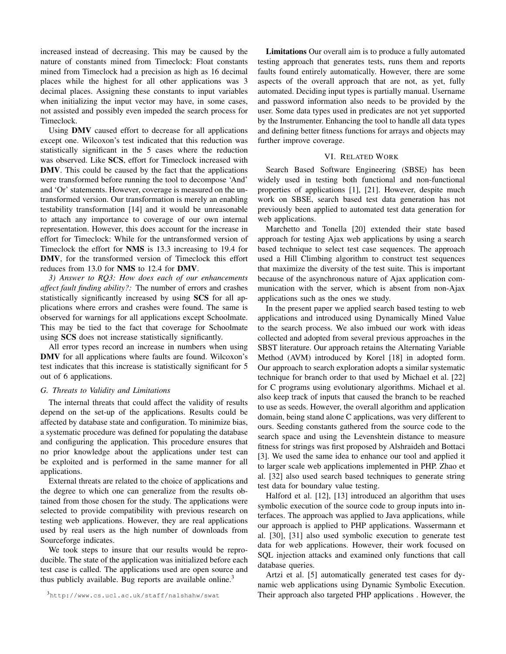increased instead of decreasing. This may be caused by the nature of constants mined from Timeclock: Float constants mined from Timeclock had a precision as high as 16 decimal places while the highest for all other applications was 3 decimal places. Assigning these constants to input variables when initializing the input vector may have, in some cases, not assisted and possibly even impeded the search process for Timeclock.

Using DMV caused effort to decrease for all applications except one. Wilcoxon's test indicated that this reduction was statistically significant in the 5 cases where the reduction was observed. Like SCS, effort for Timeclock increased with DMV. This could be caused by the fact that the applications were transformed before running the tool to decompose 'And' and 'Or' statements. However, coverage is measured on the untransformed version. Our transformation is merely an enabling testability transformation [14] and it would be unreasonable to attach any importance to coverage of our own internal representation. However, this does account for the increase in effort for Timeclock: While for the untransformed version of Timeclock the effort for NMS is 13.3 increasing to 19.4 for DMV, for the transformed version of Timeclock this effort reduces from 13.0 for NMS to 12.4 for DMV.

*3) Answer to RQ3: How does each of our enhancements affect fault finding ability?:* The number of errors and crashes statistically significantly increased by using SCS for all applications where errors and crashes were found. The same is observed for warnings for all applications except Schoolmate. This may be tied to the fact that coverage for Schoolmate using SCS does not increase statistically significantly.

All error types record an increase in numbers when using DMV for all applications where faults are found. Wilcoxon's test indicates that this increase is statistically significant for 5 out of 6 applications.

## *G. Threats to Validity and Limitations*

The internal threats that could affect the validity of results depend on the set-up of the applications. Results could be affected by database state and configuration. To minimize bias, a systematic procedure was defined for populating the database and configuring the application. This procedure ensures that no prior knowledge about the applications under test can be exploited and is performed in the same manner for all applications.

External threats are related to the choice of applications and the degree to which one can generalize from the results obtained from those chosen for the study. The applications were selected to provide compatibility with previous research on testing web applications. However, they are real applications used by real users as the high number of downloads from Sourceforge indicates.

We took steps to insure that our results would be reproducible. The state of the application was initialized before each test case is called. The applications used are open source and thus publicly available. Bug reports are available online.<sup>3</sup>

<sup>3</sup>http://www.cs.ucl.ac.uk/staff/nalshahw/swat

Limitations Our overall aim is to produce a fully automated testing approach that generates tests, runs them and reports faults found entirely automatically. However, there are some aspects of the overall approach that are not, as yet, fully automated. Deciding input types is partially manual. Username and password information also needs to be provided by the user. Some data types used in predicates are not yet supported by the Instrumenter. Enhancing the tool to handle all data types and defining better fitness functions for arrays and objects may further improve coverage.

### VI. RELATED WORK

Search Based Software Engineering (SBSE) has been widely used in testing both functional and non-functional properties of applications [1], [21]. However, despite much work on SBSE, search based test data generation has not previously been applied to automated test data generation for web applications.

Marchetto and Tonella [20] extended their state based approach for testing Ajax web applications by using a search based technique to select test case sequences. The approach used a Hill Climbing algorithm to construct test sequences that maximize the diversity of the test suite. This is important because of the asynchronous nature of Ajax application communication with the server, which is absent from non-Ajax applications such as the ones we study.

In the present paper we applied search based testing to web applications and introduced using Dynamically Mined Value to the search process. We also imbued our work with ideas collected and adopted from several previous approaches in the SBST literature. Our approach retains the Alternating Variable Method (AVM) introduced by Korel [18] in adopted form. Our approach to search exploration adopts a similar systematic technique for branch order to that used by Michael et al. [22] for C programs using evolutionary algorithms. Michael et al. also keep track of inputs that caused the branch to be reached to use as seeds. However, the overall algorithm and application domain, being stand alone C applications, was very different to ours. Seeding constants gathered from the source code to the search space and using the Levenshtein distance to measure fitness for strings was first proposed by Alshraideh and Bottaci [3]. We used the same idea to enhance our tool and applied it to larger scale web applications implemented in PHP. Zhao et al. [32] also used search based techniques to generate string test data for boundary value testing.

Halford et al. [12], [13] introduced an algorithm that uses symbolic execution of the source code to group inputs into interfaces. The approach was applied to Java applications, while our approach is applied to PHP applications. Wassermann et al. [30], [31] also used symbolic execution to generate test data for web applications. However, their work focused on SQL injection attacks and examined only functions that call database queries.

Artzi et al. [5] automatically generated test cases for dynamic web applications using Dynamic Symbolic Execution. Their approach also targeted PHP applications . However, the